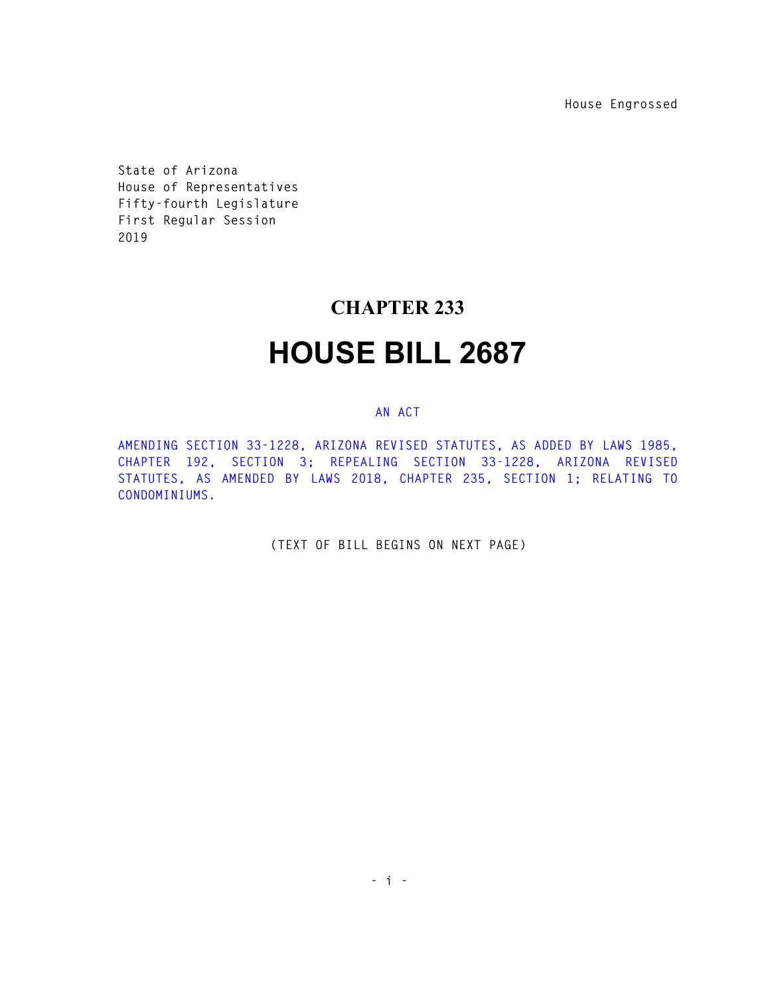**House Engrossed** 

**State of Arizona House of Representatives Fifty-fourth Legislature First Regular Session 2019** 

## **CHAPTER 233**

## **HOUSE BILL 2687**

## **AN ACT**

**AMENDING SECTION 33-1228, ARIZONA REVISED STATUTES, AS ADDED BY LAWS 1985, CHAPTER 192, SECTION 3; REPEALING SECTION 33-1228, ARIZONA REVISED STATUTES, AS AMENDED BY LAWS 2018, CHAPTER 235, SECTION 1; RELATING TO CONDOMINIUMS.** 

**(TEXT OF BILL BEGINS ON NEXT PAGE)**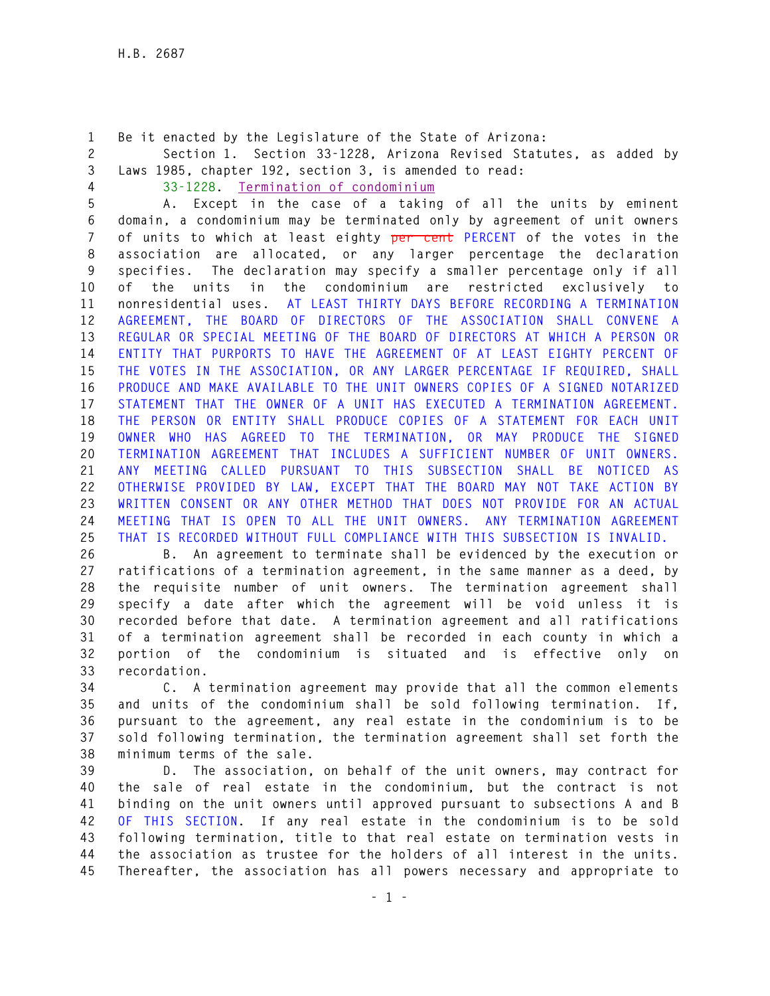**1 Be it enacted by the Legislature of the State of Arizona:** 

**2 Section 1. Section 33-1228, Arizona Revised Statutes, as added by 3 Laws 1985, chapter 192, section 3, is amended to read:** 

**4 33-1228. Termination of condominium**

**5 A. Except in the case of a taking of all the units by eminent 6 domain, a condominium may be terminated only by agreement of unit owners 7 of units to which at least eighty per cent PERCENT of the votes in the 8 association are allocated, or any larger percentage the declaration 9 specifies. The declaration may specify a smaller percentage only if all 10 of the units in the condominium are restricted exclusively to 11 nonresidential uses. AT LEAST THIRTY DAYS BEFORE RECORDING A TERMINATION 12 AGREEMENT, THE BOARD OF DIRECTORS OF THE ASSOCIATION SHALL CONVENE A 13 REGULAR OR SPECIAL MEETING OF THE BOARD OF DIRECTORS AT WHICH A PERSON OR 14 ENTITY THAT PURPORTS TO HAVE THE AGREEMENT OF AT LEAST EIGHTY PERCENT OF 15 THE VOTES IN THE ASSOCIATION, OR ANY LARGER PERCENTAGE IF REQUIRED, SHALL 16 PRODUCE AND MAKE AVAILABLE TO THE UNIT OWNERS COPIES OF A SIGNED NOTARIZED 17 STATEMENT THAT THE OWNER OF A UNIT HAS EXECUTED A TERMINATION AGREEMENT. 18 THE PERSON OR ENTITY SHALL PRODUCE COPIES OF A STATEMENT FOR EACH UNIT 19 OWNER WHO HAS AGREED TO THE TERMINATION, OR MAY PRODUCE THE SIGNED 20 TERMINATION AGREEMENT THAT INCLUDES A SUFFICIENT NUMBER OF UNIT OWNERS. 21 ANY MEETING CALLED PURSUANT TO THIS SUBSECTION SHALL BE NOTICED AS 22 OTHERWISE PROVIDED BY LAW, EXCEPT THAT THE BOARD MAY NOT TAKE ACTION BY 23 WRITTEN CONSENT OR ANY OTHER METHOD THAT DOES NOT PROVIDE FOR AN ACTUAL 24 MEETING THAT IS OPEN TO ALL THE UNIT OWNERS. ANY TERMINATION AGREEMENT 25 THAT IS RECORDED WITHOUT FULL COMPLIANCE WITH THIS SUBSECTION IS INVALID.** 

**26 B. An agreement to terminate shall be evidenced by the execution or 27 ratifications of a termination agreement, in the same manner as a deed, by 28 the requisite number of unit owners. The termination agreement shall 29 specify a date after which the agreement will be void unless it is 30 recorded before that date. A termination agreement and all ratifications 31 of a termination agreement shall be recorded in each county in which a 32 portion of the condominium is situated and is effective only on 33 recordation.** 

**34 C. A termination agreement may provide that all the common elements 35 and units of the condominium shall be sold following termination. If, 36 pursuant to the agreement, any real estate in the condominium is to be 37 sold following termination, the termination agreement shall set forth the 38 minimum terms of the sale.** 

**39 D. The association, on behalf of the unit owners, may contract for 40 the sale of real estate in the condominium, but the contract is not 41 binding on the unit owners until approved pursuant to subsections A and B 42 OF THIS SECTION. If any real estate in the condominium is to be sold 43 following termination, title to that real estate on termination vests in 44 the association as trustee for the holders of all interest in the units. 45 Thereafter, the association has all powers necessary and appropriate to**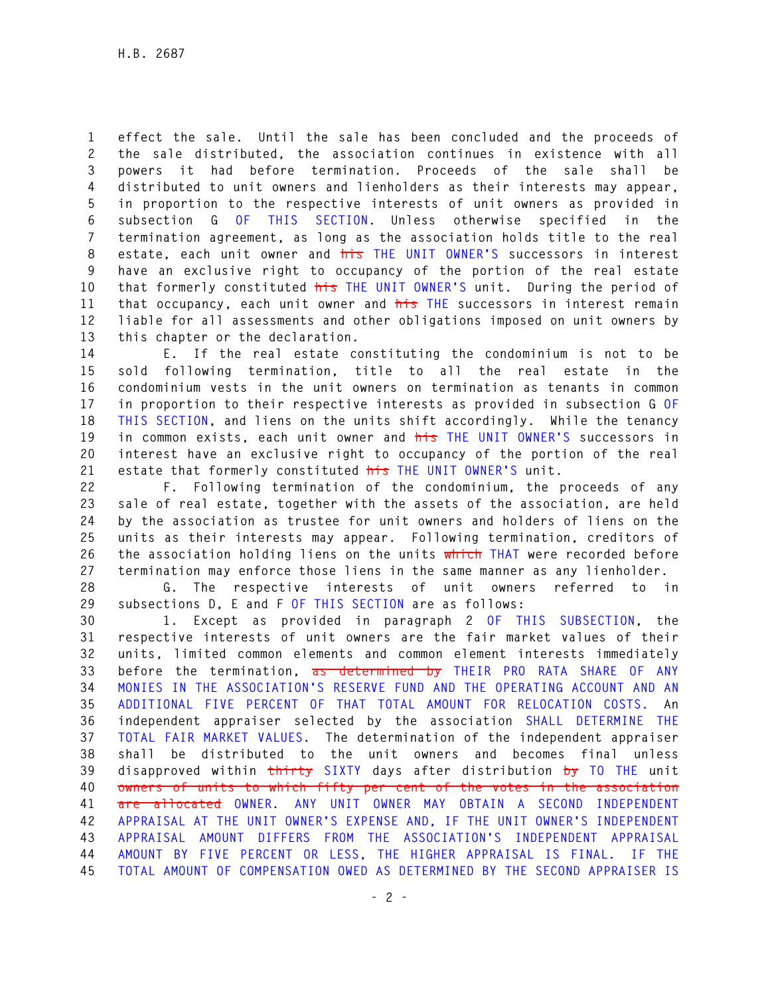**1 effect the sale. Until the sale has been concluded and the proceeds of 2 the sale distributed, the association continues in existence with all 3 powers it had before termination. Proceeds of the sale shall be 4 distributed to unit owners and lienholders as their interests may appear, 5 in proportion to the respective interests of unit owners as provided in 6 subsection G OF THIS SECTION. Unless otherwise specified in the 7 termination agreement, as long as the association holds title to the real 8 estate, each unit owner and his THE UNIT OWNER'S successors in interest 9 have an exclusive right to occupancy of the portion of the real estate 10 that formerly constituted his THE UNIT OWNER'S unit. During the period of 11 that occupancy, each unit owner and his THE successors in interest remain 12 liable for all assessments and other obligations imposed on unit owners by 13 this chapter or the declaration.** 

**14 E. If the real estate constituting the condominium is not to be 15 sold following termination, title to all the real estate in the 16 condominium vests in the unit owners on termination as tenants in common 17 in proportion to their respective interests as provided in subsection G OF 18 THIS SECTION, and liens on the units shift accordingly. While the tenancy 19 in common exists, each unit owner and his THE UNIT OWNER'S successors in 20 interest have an exclusive right to occupancy of the portion of the real 21 estate that formerly constituted his THE UNIT OWNER'S unit.** 

**22 F. Following termination of the condominium, the proceeds of any 23 sale of real estate, together with the assets of the association, are held 24 by the association as trustee for unit owners and holders of liens on the 25 units as their interests may appear. Following termination, creditors of 26 the association holding liens on the units which THAT were recorded before 27 termination may enforce those liens in the same manner as any lienholder.** 

**28 G. The respective interests of unit owners referred to in 29 subsections D, E and F OF THIS SECTION are as follows:** 

**30 1. Except as provided in paragraph 2 OF THIS SUBSECTION, the 31 respective interests of unit owners are the fair market values of their 32 units, limited common elements and common element interests immediately 33 before the termination, as determined by THEIR PRO RATA SHARE OF ANY 34 MONIES IN THE ASSOCIATION'S RESERVE FUND AND THE OPERATING ACCOUNT AND AN 35 ADDITIONAL FIVE PERCENT OF THAT TOTAL AMOUNT FOR RELOCATION COSTS. An 36 independent appraiser selected by the association SHALL DETERMINE THE 37 TOTAL FAIR MARKET VALUES. The determination of the independent appraiser 38 shall be distributed to the unit owners and becomes final unless 39 disapproved within thirty SIXTY days after distribution by TO THE unit 40 owners of units to which fifty per cent of the votes in the association 41 are allocated OWNER. ANY UNIT OWNER MAY OBTAIN A SECOND INDEPENDENT 42 APPRAISAL AT THE UNIT OWNER'S EXPENSE AND, IF THE UNIT OWNER'S INDEPENDENT 43 APPRAISAL AMOUNT DIFFERS FROM THE ASSOCIATION'S INDEPENDENT APPRAISAL 44 AMOUNT BY FIVE PERCENT OR LESS, THE HIGHER APPRAISAL IS FINAL. IF THE 45 TOTAL AMOUNT OF COMPENSATION OWED AS DETERMINED BY THE SECOND APPRAISER IS**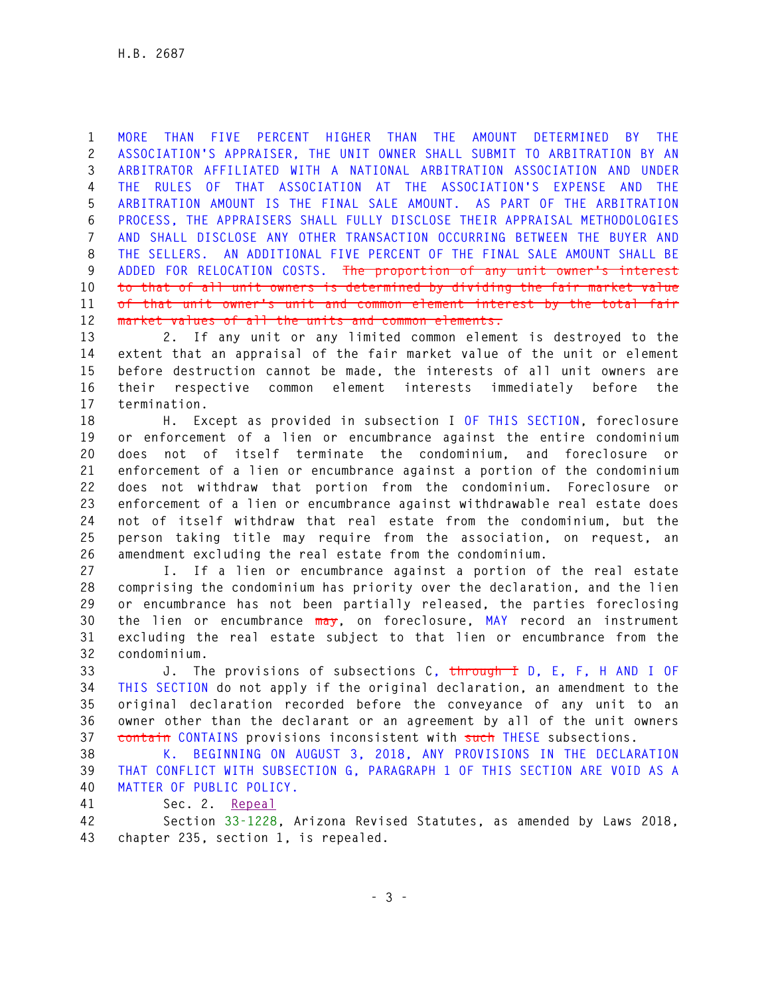**1 MORE THAN FIVE PERCENT HIGHER THAN THE AMOUNT DETERMINED BY THE 2 ASSOCIATION'S APPRAISER, THE UNIT OWNER SHALL SUBMIT TO ARBITRATION BY AN 3 ARBITRATOR AFFILIATED WITH A NATIONAL ARBITRATION ASSOCIATION AND UNDER 4 THE RULES OF THAT ASSOCIATION AT THE ASSOCIATION'S EXPENSE AND THE 5 ARBITRATION AMOUNT IS THE FINAL SALE AMOUNT. AS PART OF THE ARBITRATION 6 PROCESS, THE APPRAISERS SHALL FULLY DISCLOSE THEIR APPRAISAL METHODOLOGIES 7 AND SHALL DISCLOSE ANY OTHER TRANSACTION OCCURRING BETWEEN THE BUYER AND 8 THE SELLERS. AN ADDITIONAL FIVE PERCENT OF THE FINAL SALE AMOUNT SHALL BE 9 ADDED FOR RELOCATION COSTS. The proportion of any unit owner's interest 10 to that of all unit owners is determined by dividing the fair market value 11 of that unit owner's unit and common element interest by the total fair 12 market values of all the units and common elements.**

**13 2. If any unit or any limited common element is destroyed to the 14 extent that an appraisal of the fair market value of the unit or element 15 before destruction cannot be made, the interests of all unit owners are 16 their respective common element interests immediately before the 17 termination.** 

**18 H. Except as provided in subsection I OF THIS SECTION, foreclosure 19 or enforcement of a lien or encumbrance against the entire condominium 20 does not of itself terminate the condominium, and foreclosure or 21 enforcement of a lien or encumbrance against a portion of the condominium 22 does not withdraw that portion from the condominium. Foreclosure or 23 enforcement of a lien or encumbrance against withdrawable real estate does 24 not of itself withdraw that real estate from the condominium, but the 25 person taking title may require from the association, on request, an 26 amendment excluding the real estate from the condominium.** 

**27 I. If a lien or encumbrance against a portion of the real estate 28 comprising the condominium has priority over the declaration, and the lien 29 or encumbrance has not been partially released, the parties foreclosing 30 the lien or encumbrance may, on foreclosure, MAY record an instrument 31 excluding the real estate subject to that lien or encumbrance from the 32 condominium.** 

**33 J. The provisions of subsections C, through I D, E, F, H AND I OF 34 THIS SECTION do not apply if the original declaration, an amendment to the 35 original declaration recorded before the conveyance of any unit to an 36 owner other than the declarant or an agreement by all of the unit owners 37 contain CONTAINS provisions inconsistent with such THESE subsections.** 

**38 K. BEGINNING ON AUGUST 3, 2018, ANY PROVISIONS IN THE DECLARATION 39 THAT CONFLICT WITH SUBSECTION G, PARAGRAPH 1 OF THIS SECTION ARE VOID AS A 40 MATTER OF PUBLIC POLICY.** 

**41 Sec. 2. Repeal**

**42 Section 33-1228, Arizona Revised Statutes, as amended by Laws 2018, 43 chapter 235, section 1, is repealed.**